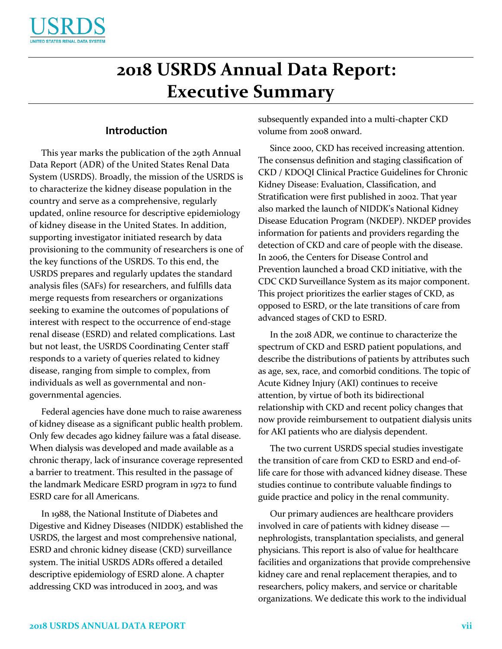

# **2018 USRDS Annual Data Report: Executive Summary**

# **Introduction**

This year marks the publication of the 29th Annual Data Report (ADR) of the United States Renal Data System (USRDS). Broadly, the mission of the USRDS is to characterize the kidney disease population in the country and serve as a comprehensive, regularly updated, online resource for descriptive epidemiology of kidney disease in the United States. In addition, supporting investigator initiated research by data provisioning to the community of researchers is one of the key functions of the USRDS. To this end, the USRDS prepares and regularly updates the standard analysis files (SAFs) for researchers, and fulfills data merge requests from researchers or organizations seeking to examine the outcomes of populations of interest with respect to the occurrence of end-stage renal disease (ESRD) and related complications. Last but not least, the USRDS Coordinating Center staff responds to a variety of queries related to kidney disease, ranging from simple to complex, from individuals as well as governmental and nongovernmental agencies.

Federal agencies have done much to raise awareness of kidney disease as a significant public health problem. Only few decades ago kidney failure was a fatal disease. When dialysis was developed and made available as a chronic therapy, lack of insurance coverage represented a barrier to treatment. This resulted in the passage of the landmark Medicare ESRD program in 1972 to fund ESRD care for all Americans.

In 1988, the National Institute of Diabetes and Digestive and Kidney Diseases (NIDDK) established the USRDS, the largest and most comprehensive national, ESRD and chronic kidney disease (CKD) surveillance system. The initial USRDS ADRs offered a detailed descriptive epidemiology of ESRD alone. A chapter addressing CKD was introduced in 2003, and was

subsequently expanded into a multi-chapter CKD volume from 2008 onward.

Since 2000, CKD has received increasing attention. The consensus definition and staging classification of CKD / KDOQI Clinical Practice Guidelines for Chronic Kidney Disease: Evaluation, Classification, and Stratification were first published in 2002. That year also marked the launch of NIDDK's National Kidney Disease Education Program (NKDEP). NKDEP provides information for patients and providers regarding the detection of CKD and care of people with the disease. In 2006, the Centers for Disease Control and Prevention launched a broad CKD initiative, with the CDC CKD Surveillance System as its major component. This project prioritizes the earlier stages of CKD, as opposed to ESRD, or the late transitions of care from advanced stages of CKD to ESRD.

In the 2018 ADR, we continue to characterize the spectrum of CKD and ESRD patient populations, and describe the distributions of patients by attributes such as age, sex, race, and comorbid conditions. The topic of Acute Kidney Injury (AKI) continues to receive attention, by virtue of both its bidirectional relationship with CKD and recent policy changes that now provide reimbursement to outpatient dialysis units for AKI patients who are dialysis dependent.

The two current USRDS special studies investigate the transition of care from CKD to ESRD and end-oflife care for those with advanced kidney disease. These studies continue to contribute valuable findings to guide practice and policy in the renal community.

Our primary audiences are healthcare providers involved in care of patients with kidney disease nephrologists, transplantation specialists, and general physicians. This report is also of value for healthcare facilities and organizations that provide comprehensive kidney care and renal replacement therapies, and to researchers, policy makers, and service or charitable organizations. We dedicate this work to the individual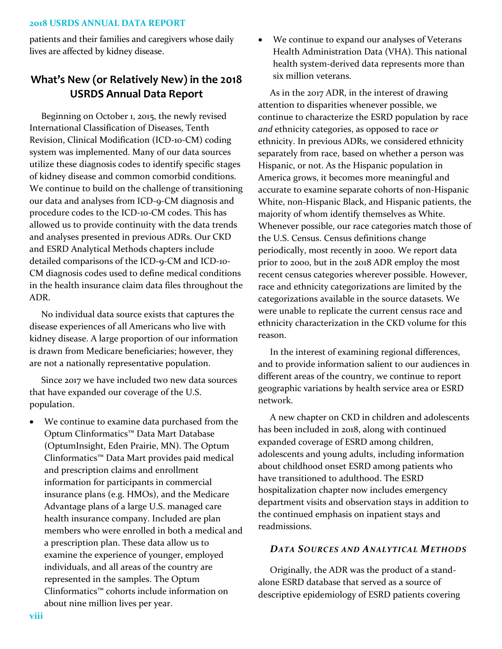patients and their families and caregivers whose daily lives are affected by kidney disease.

# **What's New (or Relatively New) in the 2018 USRDS Annual Data Report**

Beginning on October 1, 2015, the newly revised International Classification of Diseases, Tenth Revision, Clinical Modification (ICD-10-CM) coding system was implemented. Many of our data sources utilize these diagnosis codes to identify specific stages of kidney disease and common comorbid conditions. We continue to build on the challenge of transitioning our data and analyses from ICD-9-CM diagnosis and procedure codes to the ICD-10-CM codes. This has allowed us to provide continuity with the data trends and analyses presented in previous ADRs. Our CKD and ESRD Analytical Methods chapters include detailed comparisons of the ICD-9-CM and ICD-10- CM diagnosis codes used to define medical conditions in the health insurance claim data files throughout the ADR.

No individual data source exists that captures the disease experiences of all Americans who live with kidney disease. A large proportion of our information is drawn from Medicare beneficiaries; however, they are not a nationally representative population.

Since 2017 we have included two new data sources that have expanded our coverage of the U.S. population.

 We continue to examine data purchased from the Optum Clinformatics™ Data Mart Database (OptumInsight, Eden Prairie, MN). The Optum Clinformatics™ Data Mart provides paid medical and prescription claims and enrollment information for participants in commercial insurance plans (e.g. HMOs), and the Medicare Advantage plans of a large U.S. managed care health insurance company. Included are plan members who were enrolled in both a medical and a prescription plan. These data allow us to examine the experience of younger, employed individuals, and all areas of the country are represented in the samples. The Optum Clinformatics™ cohorts include information on about nine million lives per year.

 We continue to expand our analyses of Veterans Health Administration Data (VHA). This national health system-derived data represents more than six million veterans.

As in the 2017 ADR, in the interest of drawing attention to disparities whenever possible, we continue to characterize the ESRD population by race *and* ethnicity categories, as opposed to race *or* ethnicity. In previous ADRs, we considered ethnicity separately from race, based on whether a person was Hispanic, or not. As the Hispanic population in America grows, it becomes more meaningful and accurate to examine separate cohorts of non-Hispanic White, non-Hispanic Black, and Hispanic patients, the majority of whom identify themselves as White. Whenever possible, our race categories match those of the U.S. Census. Census definitions change periodically, most recently in 2000. We report data prior to 2000, but in the 2018 ADR employ the most recent census categories wherever possible. However, race and ethnicity categorizations are limited by the categorizations available in the source datasets. We were unable to replicate the current census race and ethnicity characterization in the CKD volume for this reason.

In the interest of examining regional differences, and to provide information salient to our audiences in different areas of the country, we continue to report geographic variations by health service area or ESRD network.

A new chapter on CKD in children and adolescents has been included in 2018, along with continued expanded coverage of ESRD among children, adolescents and young adults, including information about childhood onset ESRD among patients who have transitioned to adulthood. The ESRD hospitalization chapter now includes emergency department visits and observation stays in addition to the continued emphasis on inpatient stays and readmissions.

## *DATA SOURCES AND ANALYTICAL METHODS*

Originally, the ADR was the product of a standalone ESRD database that served as a source of descriptive epidemiology of ESRD patients covering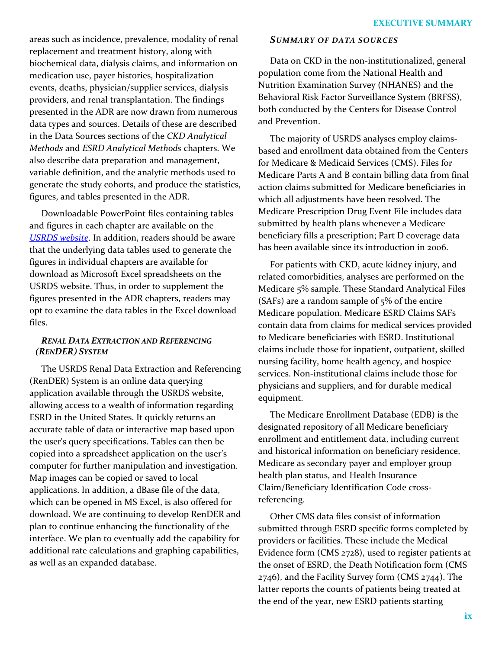areas such as incidence, prevalence, modality of renal replacement and treatment history, along with biochemical data, dialysis claims, and information on medication use, payer histories, hospitalization events, deaths, physician/supplier services, dialysis providers, and renal transplantation. The findings presented in the ADR are now drawn from numerous data types and sources. Details of these are described in the [Data Sources](https://www.usrds.org/2017/view/v2_00_appx.aspx#DataSources) sections of the *CKD Analytical Methods* and *[ESRD Analytical Methods](https://www.usrds.org/2017/view/v2_00_appx.aspx)* chapters. We also describe data preparation and management, variable definition, and the analytic methods used to generate the study cohorts, and produce the statistics, figures, and tables presented in the ADR.

Downloadable PowerPoint files containing tables and figures in each chapter are available on the *[USRDS website](https://www.usrds.org/)*. In addition, readers should be aware that the underlying data tables used to generate the figures in individual chapters are available for download as Microsoft Excel spreadsheets on the USRDS website. Thus, in order to supplement the figures presented in the ADR chapters, readers may opt to examine the data tables in the Excel download files.

# *RENAL DATA EXTRACTION AND REFERENCING (RENDER) SYSTEM*

The USRDS Renal Data Extraction and Referencing (RenDER) System is an online data querying application available through the USRDS website, allowing access to a wealth of information regarding ESRD in the United States. It quickly returns an accurate table of data or interactive map based upon the user's query specifications. Tables can then be copied into a spreadsheet application on the user's computer for further manipulation and investigation. Map images can be copied or saved to local applications. In addition, a dBase file of the data, which can be opened in MS Excel, is also offered for download. We are continuing to develop RenDER and plan to continue enhancing the functionality of the interface. We plan to eventually add the capability for additional rate calculations and graphing capabilities, as well as an expanded database.

## *SUMMARY OF DATA SOURCES*

Data on CKD in the non-institutionalized, general population come from the National Health and Nutrition Examination Survey (NHANES) and the Behavioral Risk Factor Surveillance System (BRFSS), both conducted by the Centers for Disease Control and Prevention.

The majority of USRDS analyses employ claimsbased and enrollment data obtained from the Centers for Medicare & Medicaid Services (CMS). Files for Medicare Parts A and B contain billing data from final action claims submitted for Medicare beneficiaries in which all adjustments have been resolved. The Medicare Prescription Drug Event File includes data submitted by health plans whenever a Medicare beneficiary fills a prescription; Part D coverage data has been available since its introduction in 2006.

For patients with CKD, acute kidney injury, and related comorbidities, analyses are performed on the Medicare 5% sample. These Standard Analytical Files (SAFs) are a random sample of 5% of the entire Medicare population. Medicare ESRD Claims SAFs contain data from claims for medical services provided to Medicare beneficiaries with ESRD. Institutional claims include those for inpatient, outpatient, skilled nursing facility, home health agency, and hospice services. Non-institutional claims include those for physicians and suppliers, and for durable medical equipment.

The Medicare Enrollment Database (EDB) is the designated repository of all Medicare beneficiary enrollment and entitlement data, including current and historical information on beneficiary residence, Medicare as secondary payer and employer group health plan status, and Health Insurance Claim/Beneficiary Identification Code crossreferencing.

Other CMS data files consist of information submitted through ESRD specific forms completed by providers or facilities. These include the Medical Evidence form (CMS 2728), used to register patients at the onset of ESRD, the Death Notification form (CMS 2746), and the Facility Survey form (CMS 2744). The latter reports the counts of patients being treated at the end of the year, new ESRD patients starting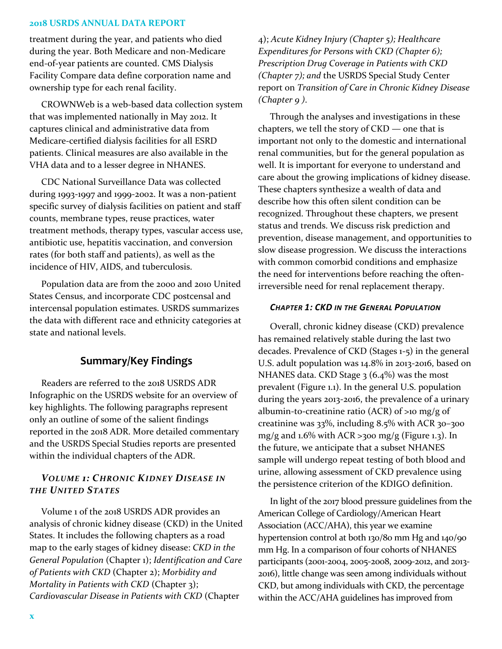treatment during the year, and patients who died during the year. Both Medicare and non-Medicare end-of-year patients are counted. CMS Dialysis Facility Compare data define corporation name and ownership type for each renal facility.

CROWNWeb is a web-based data collection system that was implemented nationally in May 2012. It captures clinical and administrative data from Medicare-certified dialysis facilities for all ESRD patients. Clinical measures are also available in the VHA data and to a lesser degree in NHANES.

CDC National Surveillance Data was collected during 1993-1997 and 1999-2002. It was a non-patient specific survey of dialysis facilities on patient and staff counts, membrane types, reuse practices, water treatment methods, therapy types, vascular access use, antibiotic use, hepatitis vaccination, and conversion rates (for both staff and patients), as well as the incidence of HIV, AIDS, and tuberculosis.

Population data are from the 2000 and 2010 United States Census, and incorporate CDC postcensal and intercensal population estimates. USRDS summarizes the data with different race and ethnicity categories at state and national levels.

# **Summary/Key Findings**

Readers are referred to the 2018 USRDS ADR Infographic on the USRDS website for an overview of key highlights. The following paragraphs represent only an outline of some of the salient findings reported in the 2018 ADR. More detailed commentary and the USRDS Special Studies reports are presented within the individual chapters of the ADR.

# *VOLUME 1: CHRONIC KIDNEY DISEASE IN THE UNITED STATES*

Volume 1 of the 2018 USRDS ADR provides an analysis of chronic kidney disease (CKD) in the United States. It includes the following chapters as a road map to the early stages of kidney disease: *CKD in the General Population* (Chapter 1); *Identification and Care of Patients with CKD* (Chapter 2); *Morbidity and Mortality in Patients with CKD* (Chapter 3); *Cardiovascular Disease in Patients with CKD* (Chapter

4); *Acute Kidney Injury (Chapter 5); Healthcare Expenditures for Persons with CKD (Chapter 6); Prescription Drug Coverage in Patients with CKD (Chapter 7); and* the USRDS Special Study Center report on *Transition of Care in Chronic Kidney Disease (Chapter 9 )*.

Through the analyses and investigations in these chapters, we tell the story of CKD — one that is important not only to the domestic and international renal communities, but for the general population as well. It is important for everyone to understand and care about the growing implications of kidney disease. These chapters synthesize a wealth of data and describe how this often silent condition can be recognized. Throughout these chapters, we present status and trends. We discuss risk prediction and prevention, disease management, and opportunities to slow disease progression. We discuss the interactions with common comorbid conditions and emphasize the need for interventions before reaching the oftenirreversible need for renal replacement therapy.

## *CHAPTER 1: CKD IN THE GENERAL POPULATION*

Overall, chronic kidney disease (CKD) prevalence has remained relatively stable during the last two decades. Prevalence of CKD (Stages 1-5) in the general U.S. adult population was 14.8% in 2013-2016, based on NHANES data. CKD Stage  $3(6.4\%)$  was the most prevalent (Figure 1.1). In the general U.S. population during the years 2013-2016, the prevalence of a urinary albumin-to-creatinine ratio (ACR) of >10 mg/g of creatinine was 33%, including 8.5% with ACR 30–300 mg/g and 1.6% with ACR >300 mg/g (Figure 1.3). In the future, we anticipate that a subset NHANES sample will undergo repeat testing of both blood and urine, allowing assessment of CKD prevalence using the persistence criterion of the KDIGO definition.

In light of the 2017 blood pressure guidelines from the American College of Cardiology/American Heart Association (ACC/AHA), this year we examine hypertension control at both 130/80 mm Hg and 140/90 mm Hg. In a comparison of four cohorts of NHANES participants (2001-2004, 2005-2008, 2009-2012, and 2013- 2016), little change was seen among individuals without CKD, but among individuals with CKD, the percentage within the ACC/AHA guidelines has improved from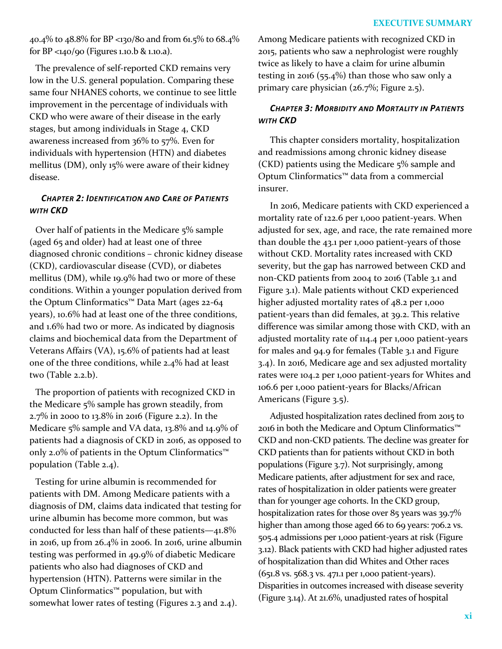40.4% to 48.8% for BP <130/80 and from 61.5% to 68.4% for BP <140/90 (Figures 1.10.b & 1.10.a).

The prevalence of self-reported CKD remains very low in the U.S. general population. Comparing these same four NHANES cohorts, we continue to see little improvement in the percentage of individuals with CKD who were aware of their disease in the early stages, but among individuals in Stage 4, CKD awareness increased from 36% to 57%. Even for individuals with hypertension (HTN) and diabetes mellitus (DM), only 15% were aware of their kidney disease.

# *CHAPTER 2: IDENTIFICATION AND CARE OF PATIENTS WITH CKD*

Over half of patients in the Medicare 5% sample (aged 65 and older) had at least one of three diagnosed chronic conditions – chronic kidney disease (CKD), cardiovascular disease (CVD), or diabetes mellitus (DM), while 19.9% had two or more of these conditions. Within a younger population derived from the Optum Clinformatics™ Data Mart (ages 22-64 years), 10.6% had at least one of the three conditions, and 1.6% had two or more. As indicated by diagnosis claims and biochemical data from the Department of Veterans Affairs (VA), 15.6% of patients had at least one of the three conditions, while 2.4% had at least two (Table 2.2.b).

The proportion of patients with recognized CKD in the Medicare 5% sample has grown steadily, from 2.7% in 2000 to 13.8% in 2016 (Figure 2.2). In the Medicare 5% sample and VA data, 13.8% and 14.9% of patients had a diagnosis of CKD in 2016, as opposed to only 2.0% of patients in the Optum Clinformatics™ population (Table 2.4).

Testing for urine albumin is recommended for patients with DM. Among Medicare patients with a diagnosis of DM, claims data indicated that testing for urine albumin has become more common, but was conducted for less than half of these patients—41.8% in 2016, up from 26.4% in 2006. In 2016, urine albumin testing was performed in 49.9% of diabetic Medicare patients who also had diagnoses of CKD and hypertension (HTN). Patterns were similar in the Optum Clinformatics™ population, but with somewhat lower rates of testing (Figures 2.3 and 2.4).

Among Medicare patients with recognized CKD in 2015, patients who saw a nephrologist were roughly twice as likely to have a claim for urine albumin testing in 2016 (55.4%) than those who saw only a primary care physician (26.7%; Figure 2.5).

# *CHAPTER 3: MORBIDITY AND MORTALITY IN PATIENTS WITH CKD*

This chapter considers mortality, hospitalization and readmissions among chronic kidney disease (CKD) patients using the Medicare 5% sample and Optum Clinformatics™ data from a commercial insurer.

In 2016, Medicare patients with CKD experienced a mortality rate of 122.6 per 1,000 patient-years. When adjusted for sex, age, and race, the rate remained more than double the 43.1 per 1,000 patient-years of those without CKD. Mortality rates increased with CKD severity, but the gap has narrowed between CKD and non-CKD patients from 2004 to 2016 (Table 3.1 and Figure 3.1). Male patients without CKD experienced higher adjusted mortality rates of 48.2 per 1,000 patient-years than did females, at 39.2. This relative difference was similar among those with CKD, with an adjusted mortality rate of 114.4 per 1,000 patient-years for males and 94.9 for females (Table 3.1 and Figure 3.4). In 2016, Medicare age and sex adjusted mortality rates were 104.2 per 1,000 patient-years for Whites and 106.6 per 1,000 patient-years for Blacks/African Americans (Figure 3.5).

Adjusted hospitalization rates declined from 2015 to 2016 in both the Medicare and Optum Clinformatics™ CKD and non-CKD patients. The decline was greater for CKD patients than for patients without CKD in both populations (Figure 3.7). Not surprisingly, among Medicare patients, after adjustment for sex and race, rates of hospitalization in older patients were greater than for younger age cohorts. In the CKD group, hospitalization rates for those over 85 years was 39.7% higher than among those aged 66 to 69 years: 706.2 vs. 505.4 admissions per 1,000 patient-years at risk (Figure 3.12). Black patients with CKD had higher adjusted rates of hospitalization than did Whites and Other races (651.8 vs. 568.3 vs. 471.1 per 1,000 patient-years). Disparities in outcomes increased with disease severity (Figure 3.14). At 21.6%, unadjusted rates of hospital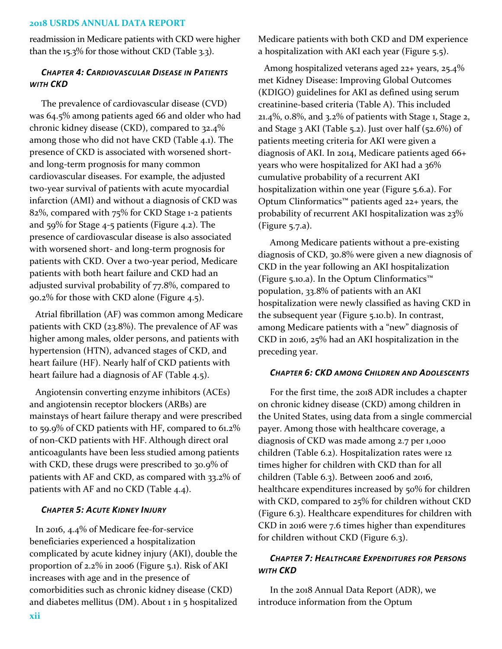readmission in Medicare patients with CKD were higher than the 15.3% for those without CKD (Table 3.3).

# *CHAPTER 4: CARDIOVASCULAR DISEASE IN PATIENTS WITH CKD*

The prevalence of cardiovascular disease (CVD) was 64.5% among patients aged 66 and older who had chronic kidney disease (CKD), compared to 32.4% among those who did not have CKD (Table 4.1). The presence of CKD is associated with worsened shortand long-term prognosis for many common cardiovascular diseases. For example, the adjusted two-year survival of patients with acute myocardial infarction (AMI) and without a diagnosis of CKD was 82%, compared with 75% for CKD Stage 1-2 patients and 59% for Stage 4-5 patients (Figure 4.2). The presence of cardiovascular disease is also associated with worsened short- and long-term prognosis for patients with CKD. Over a two-year period, Medicare patients with both heart failure and CKD had an adjusted survival probability of 77.8%, compared to 90.2% for those with CKD alone (Figure 4.5).

Atrial fibrillation (AF) was common among Medicare patients with CKD (23.8%). The prevalence of AF was higher among males, older persons, and patients with hypertension (HTN), advanced stages of CKD, and heart failure (HF). Nearly half of CKD patients with heart failure had a diagnosis of AF (Table 4.5).

Angiotensin converting enzyme inhibitors (ACEs) and angiotensin receptor blockers (ARBs) are mainstays of heart failure therapy and were prescribed to 59.9% of CKD patients with HF, compared to 61.2% of non-CKD patients with HF. Although direct oral anticoagulants have been less studied among patients with CKD, these drugs were prescribed to 30.9% of patients with AF and CKD, as compared with 33.2% of patients with AF and no CKD (Table 4.4).

## *CHAPTER 5: ACUTE KIDNEY INJURY*

In 2016, 4.4% of Medicare fee-for-service beneficiaries experienced a hospitalization complicated by acute kidney injury (AKI), double the proportion of 2.2% in 2006 (Figure 5.1). Risk of AKI increases with age and in the presence of comorbidities such as chronic kidney disease (CKD) and diabetes mellitus (DM). About 1 in 5 hospitalized Medicare patients with both CKD and DM experience a hospitalization with AKI each year (Figure 5.5).

Among hospitalized veterans aged 22+ years, 25.4% met Kidney Disease: Improving Global Outcomes (KDIGO) guidelines for AKI as defined using serum creatinine-based criteria (Table A). This included 21.4%, 0.8%, and 3.2% of patients with Stage 1, Stage 2, and Stage 3 AKI (Table 5.2). Just over half (52.6%) of patients meeting criteria for AKI were given a diagnosis of AKI. In 2014, Medicare patients aged 66+ years who were hospitalized for AKI had a 36% cumulative probability of a recurrent AKI hospitalization within one year (Figure 5.6.a). For Optum Clinformatics™ patients aged 22+ years, the probability of recurrent AKI hospitalization was 23% (Figure 5.7.a).

Among Medicare patients without a pre-existing diagnosis of CKD, 30.8% were given a new diagnosis of CKD in the year following an AKI hospitalization (Figure 5.10.a). In the Optum Clinformatics™ population, 33.8% of patients with an AKI hospitalization were newly classified as having CKD in the subsequent year (Figure 5.10.b). In contrast, among Medicare patients with a "new" diagnosis of CKD in 2016, 25% had an AKI hospitalization in the preceding year.

#### *CHAPTER 6: CKD AMONG CHILDREN AND ADOLESCENTS*

For the first time, the 2018 ADR includes a chapter on chronic kidney disease (CKD) among children in the United States, using data from a single commercial payer. Among those with healthcare coverage, a diagnosis of CKD was made among 2.7 per 1,000 children (Table 6.2). Hospitalization rates were 12 times higher for children with CKD than for all children (Table 6.3). Between 2006 and 2016, healthcare expenditures increased by 50% for children with CKD, compared to 25% for children without CKD (Figure 6.3). Healthcare expenditures for children with CKD in 2016 were 7.6 times higher than expenditures for children without CKD (Figure 6.3).

# *CHAPTER 7: HEALTHCARE EXPENDITURES FOR PERSONS WITH CKD*

In the 2018 Annual Data Report (ADR), we introduce information from the Optum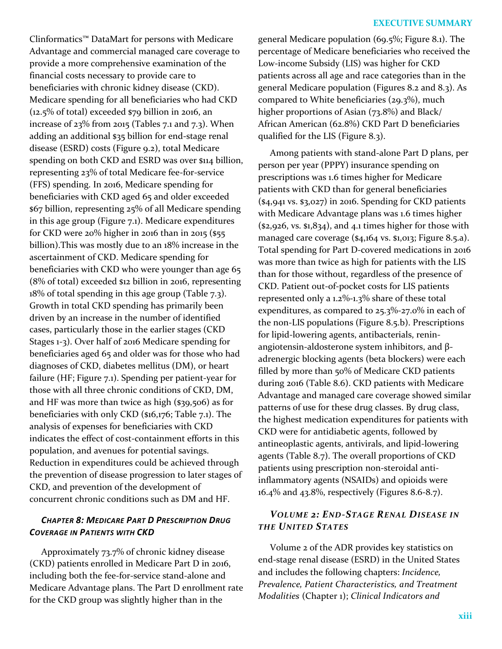Clinformatics™ DataMart for persons with Medicare Advantage and commercial managed care coverage to provide a more comprehensive examination of the financial costs necessary to provide care to beneficiaries with chronic kidney disease (CKD). Medicare spending for all beneficiaries who had CKD (12.5% of total) exceeded \$79 billion in 2016, an increase of 23% from 2015 (Tables 7.1 and 7.3). When adding an additional \$35 billion for end-stage renal disease (ESRD) costs (Figure 9.2), total Medicare spending on both CKD and ESRD was over \$114 billion, representing 23% of total Medicare fee-for-service (FFS) spending. In 2016, Medicare spending for beneficiaries with CKD aged 65 and older exceeded \$67 billion, representing 25% of all Medicare spending in this age group (Figure 7.1). Medicare expenditures for CKD were 20% higher in 2016 than in 2015 (\$55 billion).This was mostly due to an 18% increase in the ascertainment of CKD. Medicare spending for beneficiaries with CKD who were younger than age 65 (8% of total) exceeded \$12 billion in 2016, representing 18% of total spending in this age group (Table 7.3). Growth in total CKD spending has primarily been driven by an increase in the number of identified cases, particularly those in the earlier stages (CKD Stages 1-3). Over half of 2016 Medicare spending for beneficiaries aged 65 and older was for those who had diagnoses of CKD, diabetes mellitus (DM), or heart failure (HF; Figure 7.1). Spending per patient-year for those with all three chronic conditions of CKD, DM, and HF was more than twice as high (\$39,506) as for beneficiaries with only CKD (\$16,176; Table 7.1). The analysis of expenses for beneficiaries with CKD indicates the effect of cost-containment efforts in this population, and avenues for potential savings. Reduction in expenditures could be achieved through the prevention of disease progression to later stages of CKD, and prevention of the development of concurrent chronic conditions such as DM and HF.

# *CHAPTER 8: MEDICARE PART D PRESCRIPTION DRUG COVERAGE IN PATIENTS WITH CKD*

Approximately 73.7% of chronic kidney disease (CKD) patients enrolled in Medicare Part D in 2016, including both the fee-for-service stand-alone and Medicare Advantage plans. The Part D enrollment rate for the CKD group was slightly higher than in the

## **EXECUTIVE SUMMARY**

general Medicare population (69.5%; Figure 8.1). The percentage of Medicare beneficiaries who received the Low-income Subsidy (LIS) was higher for CKD patients across all age and race categories than in the general Medicare population (Figures 8.2 and 8.3). As compared to White beneficiaries (29.3%), much higher proportions of Asian (73.8%) and Black/ African American (62.8%) CKD Part D beneficiaries qualified for the LIS (Figure 8.3).

Among patients with stand-alone Part D plans, per person per year (PPPY) insurance spending on prescriptions was 1.6 times higher for Medicare patients with CKD than for general beneficiaries (\$4,941 vs. \$3,027) in 2016. Spending for CKD patients with Medicare Advantage plans was 1.6 times higher  $(*2,926, vs. $1,834),$  and 4.1 times higher for those with managed care coverage (\$4,164 vs. \$1,013; Figure 8.5.a). Total spending for Part D-covered medications in 2016 was more than twice as high for patients with the LIS than for those without, regardless of the presence of CKD. Patient out-of-pocket costs for LIS patients represented only a 1.2%-1.3% share of these total expenditures, as compared to 25.3%-27.0% in each of the non-LIS populations (Figure 8.5.b). Prescriptions for lipid-lowering agents, antibacterials, reninangiotensin-aldosterone system inhibitors, and βadrenergic blocking agents (beta blockers) were each filled by more than 50% of Medicare CKD patients during 2016 (Table 8.6). CKD patients with Medicare Advantage and managed care coverage showed similar patterns of use for these drug classes. By drug class, the highest medication expenditures for patients with CKD were for antidiabetic agents, followed by antineoplastic agents, antivirals, and lipid-lowering agents (Table 8.7). The overall proportions of CKD patients using prescription non-steroidal antiinflammatory agents (NSAIDs) and opioids were 16.4% and 43.8%, respectively (Figures 8.6-8.7).

# *VOLUME 2: END-STAGE RENAL DISEASE IN THE UNITED STATES*

Volume 2 of the ADR provides key statistics on end-stage renal disease (ESRD) in the United States and includes the following chapters: *Incidence, Prevalence, Patient Characteristics, and Treatment Modalities* (Chapter 1); *Clinical Indicators and*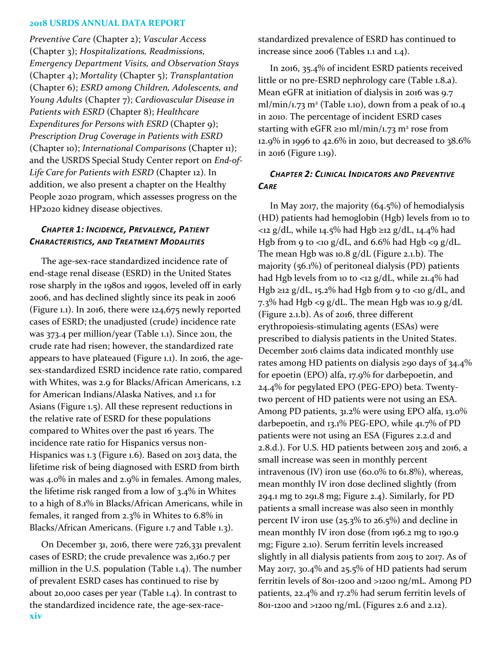*Preventive Care* (Chapter 2); *Vascular Access* (Chapter 3); *Hospitalizations, Readmissions, Emergency Department Visits, and Observation Stays*  (Chapter 4); *Mortality* (Chapter 5); *Transplantation* (Chapter 6); *ESRD among Children, Adolescents, and Young Adults* (Chapter 7); *Cardiovascular Disease in Patients with ESRD* (Chapter 8); *Healthcare Expenditures for Persons with ESRD* (Chapter 9); *Prescription Drug Coverage in Patients with ESRD*  (Chapter 10); *International Comparisons* (Chapter 11); and the USRDS Special Study Center report on *End-of-Life Care for Patients with ESRD* (Chapter 12). In addition, we also present a chapter on the Healthy People 2020 program, which assesses progress on the HP2020 kidney disease objectives.

# *CHAPTER 1: INCIDENCE, PREVALENCE, PATIENT CHARACTERISTICS, AND TREATMENT MODALITIES*

The age-sex-race standardized incidence rate of end-stage renal disease (ESRD) in the United States rose sharply in the 1980s and 1990s, leveled off in early 2006, and has declined slightly since its peak in 2006 (Figure 1.1). In 2016, there were 124,675 newly reported cases of ESRD; the unadjusted (crude) incidence rate was 373.4 per million/year (Table 1.1). Since 2011, the crude rate had risen; however, the standardized rate appears to have plateaued (Figure 1.1). In 2016, the agesex-standardized ESRD incidence rate ratio, compared with Whites, was 2.9 for Blacks/African Americans, 1.2 for American Indians/Alaska Natives, and 1.1 for Asians (Figure 1.5). All these represent reductions in the relative rate of ESRD for these populations compared to Whites over the past 16 years. The incidence rate ratio for Hispanics versus non-Hispanics was 1.3 (Figure 1.6). Based on 2013 data, the lifetime risk of being diagnosed with ESRD from birth was 4.0% in males and 2.9% in females. Among males, the lifetime risk ranged from a low of 3.4% in Whites to a high of 8.1% in Blacks/African Americans, while in females, it ranged from 2.3% in Whites to 6.8% in Blacks/African Americans. (Figure 1.7 and Table 1.3).

On December 31, 2016, there were 726,331 prevalent cases of ESRD; the crude prevalence was 2,160.7 per million in the U.S. population (Table 1.4). The number of prevalent ESRD cases has continued to rise by about 20,000 cases per year (Table 1.4). In contrast to the standardized incidence rate, the age-sex-racestandardized prevalence of ESRD has continued to increase since 2006 (Tables 1.1 and 1.4).

In 2016, 35.4% of incident ESRD patients received little or no pre-ESRD nephrology care (Table 1.8.a). Mean eGFR at initiation of dialysis in 2016 was 9.7 ml/min/1.73 m<sup>2</sup> (Table 1.10), down from a peak of 10.4 in 2010. The percentage of incident ESRD cases starting with eGFR ≥10 ml/min/1.73 m<sup>2</sup> rose from 12.9% in 1996 to 42.6% in 2010, but decreased to 38.6% in 2016 (Figure 1.19).

## *CHAPTER 2: CLINICAL INDICATORS AND PREVENTIVE CARE*

In May 2017, the majority (64.5%) of hemodialysis (HD) patients had hemoglobin (Hgb) levels from 10 to <12 g/dL, while 14.5% had Hgb ≥12 g/dL, 14.4% had Hgb from 9 to <10 g/dL, and 6.6% had Hgb <9 g/dL. The mean Hgb was 10.8 g/dL (Figure 2.1.b). The majority (56.1%) of peritoneal dialysis (PD) patients had Hgb levels from 10 to <12 g/dL, while 21.4% had Hgb ≥12 g/dL, 15.2% had Hgb from 9 to <10 g/dL, and 7.3% had Hgb <9  $g/dL$ . The mean Hgb was 10.9  $g/dL$ (Figure 2.1.b). As of 2016, three different erythropoiesis-stimulating agents (ESAs) were prescribed to dialysis patients in the United States. December 2016 claims data indicated monthly use rates among HD patients on dialysis ≥90 days of 34.4% for epoetin (EPO) alfa, 17.9% for darbepoetin, and 24.4% for pegylated EPO (PEG-EPO) beta. Twentytwo percent of HD patients were not using an ESA. Among PD patients, 31.2% were using EPO alfa, 13.0% darbepoetin, and 13.1% PEG-EPO, while 41.7% of PD patients were not using an ESA (Figures 2.2.d and 2.8.d.). For U.S. HD patients between 2015 and 2016, a small increase was seen in monthly percent intravenous (IV) iron use (60.0% to 61.8%), whereas, mean monthly IV iron dose declined slightly (from 294.1 mg to 291.8 mg; Figure 2.4). Similarly, for PD patients a small increase was also seen in monthly percent IV iron use (25.3% to 26.5%) and decline in mean monthly IV iron dose (from 196.2 mg to 190.9 mg; Figure 2.10). Serum ferritin levels increased slightly in all dialysis patients from 2015 to 2017. As of May 2017, 30.4% and 25.5% of HD patients had serum ferritin levels of 801-1200 and >1200 ng/mL. Among PD patients, 22.4% and 17.2% had serum ferritin levels of 801-1200 and >1200 ng/mL (Figures 2.6 and 2.12).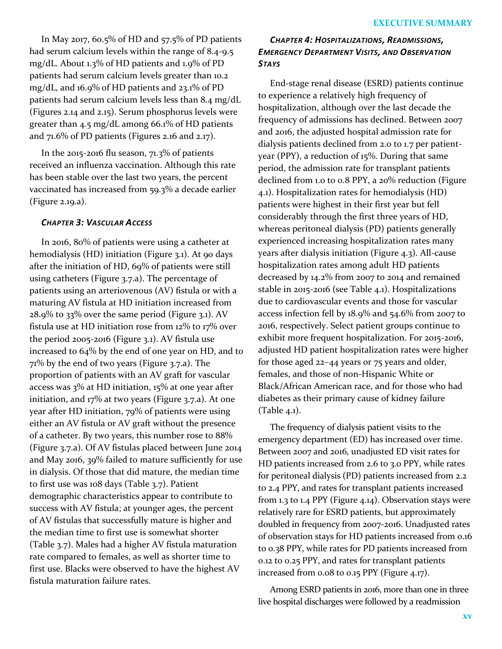In May 2017, 60.5% of HD and 57.5% of PD patients had serum calcium levels within the range of 8.4-9.5 mg/dL. About 1.3% of HD patients and 1.9% of PD patients had serum calcium levels greater than 10.2 mg/dL, and 16.9% of HD patients and 23.1% of PD patients had serum calcium levels less than 8.4 mg/dL (Figures 2.14 and 2.15). Serum phosphorus levels were greater than 4.5 mg/dL among 66.1% of HD patients and 71.6% of PD patients (Figures 2.16 and 2.17).

In the 2015-2016 flu season, 71.3% of patients received an influenza vaccination. Although this rate has been stable over the last two years, the percent vaccinated has increased from 59.3% a decade earlier (Figure 2.19.a).

## *CHAPTER 3: VASCULAR ACCESS*

In 2016, 80% of patients were using a catheter at hemodialysis (HD) initiation (Figure 3.1). At 90 days after the initiation of HD, 69% of patients were still using catheters (Figure 3.7.a). The percentage of patients using an arteriovenous (AV) fistula or with a maturing AV fistula at HD initiation increased from 28.9% to 33% over the same period (Figure 3.1). AV fistula use at HD initiation rose from 12% to 17% over the period 2005-2016 (Figure 3.1). AV fistula use increased to 64% by the end of one year on HD, and to 71% by the end of two years (Figure 3.7.a). The proportion of patients with an AV graft for vascular access was 3% at HD initiation, 15% at one year after initiation, and 17% at two years (Figure 3.7.a). At one year after HD initiation, 79% of patients were using either an AV fistula or AV graft without the presence of a catheter. By two years, this number rose to 88% (Figure 3.7.a). Of AV fistulas placed between June 2014 and May 2016, 39% failed to mature sufficiently for use in dialysis. Of those that did mature, the median time to first use was 108 days (Table 3.7). Patient demographic characteristics appear to contribute to success with AV fistula; at younger ages, the percent of AV fistulas that successfully mature is higher and the median time to first use is somewhat shorter (Table 3.7). Males had a higher AV fistula maturation rate compared to females, as well as shorter time to first use. Blacks were observed to have the highest AV fistula maturation failure rates.

# *CHAPTER 4: HOSPITALIZATIONS, READMISSIONS, EMERGENCY DEPARTMENT VISITS, AND OBSERVATION STAYS*

End-stage renal disease (ESRD) patients continue to experience a relatively high frequency of hospitalization, although over the last decade the frequency of admissions has declined. Between 2007 and 2016, the adjusted hospital admission rate for dialysis patients declined from 2.0 to 1.7 per patientyear (PPY), a reduction of 15%. During that same period, the admission rate for transplant patients declined from 1.0 to 0.8 PPY, a 20% reduction (Figure 4.1). Hospitalization rates for hemodialysis (HD) patients were highest in their first year but fell considerably through the first three years of HD, whereas peritoneal dialysis (PD) patients generally experienced increasing hospitalization rates many years after dialysis initiation (Figure 4.3). All-cause hospitalization rates among adult HD patients decreased by 14.2% from 2007 to 2014 and remained stable in 2015-2016 (see Table 4.1). Hospitalizations due to cardiovascular events and those for vascular access infection fell by 18.9% and 54.6% from 2007 to 2016, respectively. Select patient groups continue to exhibit more frequent hospitalization. For 2015-2016, adjusted HD patient hospitalization rates were higher for those aged 22–44 years or 75 years and older, females, and those of non-Hispanic White or Black/African American race, and for those who had diabetes as their primary cause of kidney failure (Table 4.1).

The frequency of dialysis patient visits to the emergency department (ED) has increased over time. Between 2007 and 2016, unadjusted ED visit rates for HD patients increased from 2.6 to 3.0 PPY, while rates for peritoneal dialysis (PD) patients increased from 2.2 to 2.4 PPY, and rates for transplant patients increased from 1.3 to 1.4 PPY (Figure 4.14). Observation stays were relatively rare for ESRD patients, but approximately doubled in frequency from 2007-2016. Unadjusted rates of observation stays for HD patients increased from 0.16 to 0.38 PPY, while rates for PD patients increased from 0.12 to 0.25 PPY, and rates for transplant patients increased from 0.08 to 0.15 PPY (Figure 4.17).

Among ESRD patients in 2016, more than one in three live hospital discharges were followed by a readmission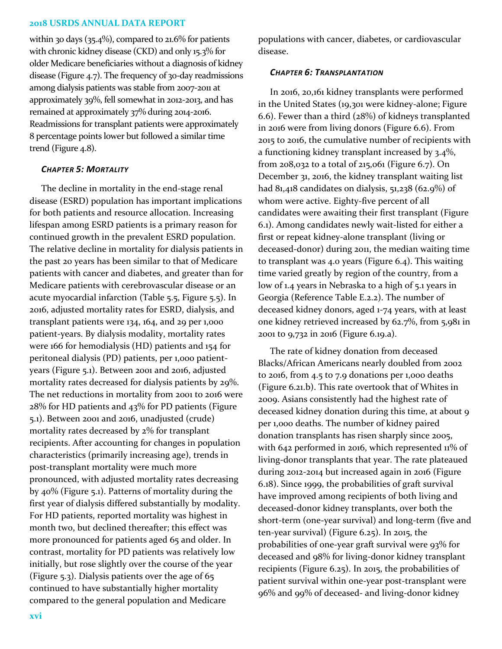within 30 days  $(35.4\%)$ , compared to 21.6% for patients with chronic kidney disease (CKD) and only 15.3% for older Medicare beneficiaries without a diagnosis of kidney disease (Figure 4.7). The frequency of 30-day readmissions among dialysis patients was stable from 2007-2011 at approximately 39%, fell somewhat in 2012-2013, and has remained at approximately 37% during 2014-2016. Readmissions for transplant patients were approximately 8 percentage points lower but followed a similar time trend (Figure 4.8).

## *CHAPTER 5: MORTALITY*

The decline in mortality in the end-stage renal disease (ESRD) population has important implications for both patients and resource allocation. Increasing lifespan among ESRD patients is a primary reason for continued growth in the prevalent ESRD population. The relative decline in mortality for dialysis patients in the past 20 years has been similar to that of Medicare patients with cancer and diabetes, and greater than for Medicare patients with cerebrovascular disease or an acute myocardial infarction (Table 5.5, Figure 5.5). In 2016, adjusted mortality rates for ESRD, dialysis, and transplant patients were 134, 164, and 29 per 1,000 patient-years. By dialysis modality, mortality rates were 166 for hemodialysis (HD) patients and 154 for peritoneal dialysis (PD) patients, per 1,000 patientyears (Figure 5.1). Between 2001 and 2016, adjusted mortality rates decreased for dialysis patients by 29%. The net reductions in mortality from 2001 to 2016 were 28% for HD patients and 43% for PD patients (Figure 5.1). Between 2001 and 2016, unadjusted (crude) mortality rates decreased by 2% for transplant recipients. After accounting for changes in population characteristics (primarily increasing age), trends in post-transplant mortality were much more pronounced, with adjusted mortality rates decreasing by 40% (Figure 5.1). Patterns of mortality during the first year of dialysis differed substantially by modality. For HD patients, reported mortality was highest in month two, but declined thereafter; this effect was more pronounced for patients aged 65 and older. In contrast, mortality for PD patients was relatively low initially, but rose slightly over the course of the year (Figure 5.3). Dialysis patients over the age of 65 continued to have substantially higher mortality compared to the general population and Medicare

populations with cancer, diabetes, or cardiovascular disease.

## *CHAPTER 6: TRANSPLANTATION*

In 2016, 20,161 kidney transplants were performed in the United States (19,301 were kidney-alone; Figure 6.6). Fewer than a third (28%) of kidneys transplanted in 2016 were from living donors (Figure 6.6). From 2015 to 2016, the cumulative number of recipients with a functioning kidney transplant increased by 3.4%, from 208,032 to a total of 215,061 (Figure 6.7). On December 31, 2016, the kidney transplant waiting list had 81,418 candidates on dialysis, 51,238 (62.9%) of whom were active. Eighty-five percent of all candidates were awaiting their first transplant (Figure 6.1). Among candidates newly wait-listed for either a first or repeat kidney-alone transplant (living or deceased-donor) during 2011, the median waiting time to transplant was 4.0 years (Figure 6.4). This waiting time varied greatly by region of the country, from a low of 1.4 years in Nebraska to a high of 5.1 years in Georgia (Reference Table E.2.2). The number of deceased kidney donors, aged 1-74 years, with at least one kidney retrieved increased by 62.7%, from 5,981 in 2001 to 9,732 in 2016 (Figure 6.19.a).

The rate of kidney donation from deceased Blacks/African Americans nearly doubled from 2002 to 2016, from 4.5 to 7.9 donations per 1,000 deaths (Figure 6.21.b). This rate overtook that of Whites in 2009. Asians consistently had the highest rate of deceased kidney donation during this time, at about 9 per 1,000 deaths. The number of kidney paired donation transplants has risen sharply since 2005, with 642 performed in 2016, which represented 11% of living-donor transplants that year. The rate plateaued during 2012-2014 but increased again in 2016 (Figure 6.18). Since 1999, the probabilities of graft survival have improved among recipients of both living and deceased-donor kidney transplants, over both the short-term (one-year survival) and long-term (five and ten-year survival) (Figure 6.25). In 2015, the probabilities of one-year graft survival were 93% for deceased and 98% for living-donor kidney transplant recipients (Figure 6.25). In 2015, the probabilities of patient survival within one-year post-transplant were 96% and 99% of deceased- and living-donor kidney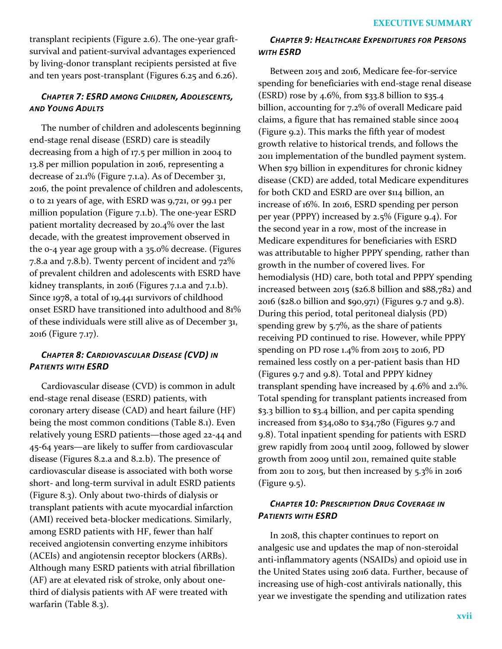transplant recipients (Figure 2.6). The one-year graftsurvival and patient-survival advantages experienced by living-donor transplant recipients persisted at five and ten years post-transplant (Figures 6.25 and 6.26).

# *CHAPTER 7: ESRD AMONG CHILDREN, ADOLESCENTS, AND YOUNG ADULTS*

The number of children and adolescents beginning end-stage renal disease (ESRD) care is steadily decreasing from a high of 17.5 per million in 2004 to 13.8 per million population in 2016, representing a decrease of 21.1% (Figure 7.1.a). As of December 31, 2016, the point prevalence of children and adolescents, 0 to 21 years of age, with ESRD was 9,721, or 99.1 per million population (Figure 7.1.b). The one-year ESRD patient mortality decreased by 20.4% over the last decade, with the greatest improvement observed in the 0-4 year age group with a 35.0% decrease. (Figures 7.8.a and 7.8.b). Twenty percent of incident and 72% of prevalent children and adolescents with ESRD have kidney transplants, in 2016 (Figures 7.1.a and 7.1.b). Since 1978, a total of 19,441 survivors of childhood onset ESRD have transitioned into adulthood and 81% of these individuals were still alive as of December 31, 2016 (Figure 7.17).

# *CHAPTER 8: CARDIOVASCULAR DISEASE (CVD) IN PATIENTS WITH ESRD*

Cardiovascular disease (CVD) is common in adult end-stage renal disease (ESRD) patients, with coronary artery disease (CAD) and heart failure (HF) being the most common conditions (Table 8.1). Even relatively young ESRD patients—those aged 22-44 and 45-64 years—are likely to suffer from cardiovascular disease (Figures 8.2.a and 8.2.b). The presence of cardiovascular disease is associated with both worse short- and long-term survival in adult ESRD patients (Figure 8.3). Only about two-thirds of dialysis or transplant patients with acute myocardial infarction (AMI) received beta-blocker medications. Similarly, among ESRD patients with HF, fewer than half received angiotensin converting enzyme inhibitors (ACEIs) and angiotensin receptor blockers (ARBs). Although many ESRD patients with atrial fibrillation (AF) are at elevated risk of stroke, only about onethird of dialysis patients with AF were treated with warfarin (Table 8.3).

# *CHAPTER 9: HEALTHCARE EXPENDITURES FOR PERSONS WITH ESRD*

Between 2015 and 2016, Medicare fee-for-service spending for beneficiaries with end-stage renal disease (ESRD) rose by 4.6%, from \$33.8 billion to \$35.4 billion, accounting for 7.2% of overall Medicare paid claims, a figure that has remained stable since 2004 (Figure 9.2). This marks the fifth year of modest growth relative to historical trends, and follows the 2011 implementation of the bundled payment system. When \$79 billion in expenditures for chronic kidney disease (CKD) are added, total Medicare expenditures for both CKD and ESRD are over \$114 billion, an increase of 16%. In 2016, ESRD spending per person per year (PPPY) increased by 2.5% (Figure 9.4). For the second year in a row, most of the increase in Medicare expenditures for beneficiaries with ESRD was attributable to higher PPPY spending, rather than growth in the number of covered lives. For hemodialysis (HD) care, both total and PPPY spending increased between 2015 (\$26.8 billion and \$88,782) and 2016 (\$28.0 billion and \$90,971) (Figures 9.7 and 9.8). During this period, total peritoneal dialysis (PD) spending grew by 5.7%, as the share of patients receiving PD continued to rise. However, while PPPY spending on PD rose 1.4% from 2015 to 2016, PD remained less costly on a per-patient basis than HD (Figures 9.7 and 9.8). Total and PPPY kidney transplant spending have increased by 4.6% and 2.1%. Total spending for transplant patients increased from \$3.3 billion to \$3.4 billion, and per capita spending increased from \$34,080 to \$34,780 (Figures 9.7 and 9.8). Total inpatient spending for patients with ESRD grew rapidly from 2004 until 2009, followed by slower growth from 2009 until 2011, remained quite stable from 2011 to 2015, but then increased by 5.3% in 2016  $(Figure 9.5)$ .

# *CHAPTER 10: PRESCRIPTION DRUG COVERAGE IN PATIENTS WITH ESRD*

In 2018, this chapter continues to report on analgesic use and updates the map of non-steroidal anti-inflammatory agents (NSAIDs) and opioid use in the United States using 2016 data. Further, because of increasing use of high-cost antivirals nationally, this year we investigate the spending and utilization rates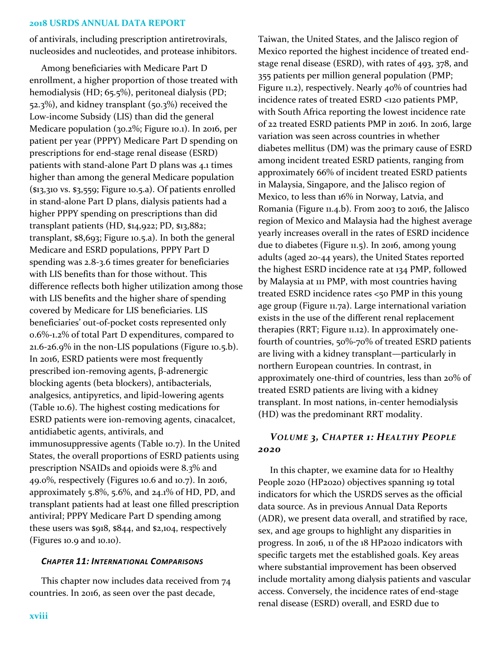of antivirals, including prescription antiretrovirals, nucleosides and nucleotides, and protease inhibitors.

Among beneficiaries with Medicare Part D enrollment, a higher proportion of those treated with hemodialysis (HD; 65.5%), peritoneal dialysis (PD; 52.3%), and kidney transplant (50.3%) received the Low-income Subsidy (LIS) than did the general Medicare population (30.2%; Figure 10.1). In 2016, per patient per year (PPPY) Medicare Part D spending on prescriptions for end-stage renal disease (ESRD) patients with stand-alone Part D plans was 4.1 times higher than among the general Medicare population (\$13,310 vs. \$3,559; Figure 10.5.a). Of patients enrolled in stand-alone Part D plans, dialysis patients had a higher PPPY spending on prescriptions than did transplant patients (HD, \$14,922; PD, \$13,882; transplant, \$8,693; Figure 10.5.a). In both the general Medicare and ESRD populations, PPPY Part D spending was 2.8-3.6 times greater for beneficiaries with LIS benefits than for those without. This difference reflects both higher utilization among those with LIS benefits and the higher share of spending covered by Medicare for LIS beneficiaries. LIS beneficiaries' out-of-pocket costs represented only 0.6%-1.2% of total Part D expenditures, compared to 21.6-26.9% in the non-LIS populations (Figure 10.5.b). In 2016, ESRD patients were most frequently prescribed ion-removing agents, β-adrenergic blocking agents (beta blockers), antibacterials, analgesics, antipyretics, and lipid-lowering agents (Table 10.6). The highest costing medications for ESRD patients were ion-removing agents, cinacalcet, antidiabetic agents, antivirals, and immunosuppressive agents (Table 10.7). In the United States, the overall proportions of ESRD patients using prescription NSAIDs and opioids were 8.3% and 49.0%, respectively (Figures 10.6 and 10.7). In 2016, approximately 5.8%, 5.6%, and  $24.1\%$  of HD, PD, and transplant patients had at least one filled prescription antiviral; PPPY Medicare Part D spending among these users was \$918, \$844, and \$2,104, respectively (Figures 10.9 and 10.10).

#### *CHAPTER 11: INTERNATIONAL COMPARISONS*

This chapter now includes data received from 74 countries. In 2016, as seen over the past decade,

Mexico reported the highest incidence of treated endstage renal disease (ESRD), with rates of 493, 378, and 355 patients per million general population (PMP; Figure 11.2), respectively. Nearly 40% of countries had incidence rates of treated ESRD <120 patients PMP, with South Africa reporting the lowest incidence rate of 22 treated ESRD patients PMP in 2016. In 2016, large variation was seen across countries in whether diabetes mellitus (DM) was the primary cause of ESRD among incident treated ESRD patients, ranging from approximately 66% of incident treated ESRD patients in Malaysia, Singapore, and the Jalisco region of Mexico, to less than 16% in Norway, Latvia, and Romania (Figure 11.4.b). From 2003 to 2016, the Jalisco region of Mexico and Malaysia had the highest average yearly increases overall in the rates of ESRD incidence due to diabetes (Figure 11.5). In 2016, among young adults (aged 20-44 years), the United States reported the highest ESRD incidence rate at 134 PMP, followed by Malaysia at 111 PMP, with most countries having treated ESRD incidence rates <50 PMP in this young age group (Figure 11.7a). Large international variation exists in the use of the different renal replacement therapies (RRT; Figure 11.12). In approximately onefourth of countries, 50%-70% of treated ESRD patients are living with a kidney transplant—particularly in northern European countries. In contrast, in approximately one-third of countries, less than 20% of treated ESRD patients are living with a kidney transplant. In most nations, in-center hemodialysis (HD) was the predominant RRT modality. *VOLUME 3, CHAPTER 1: HEALTHY PEOPLE* 

Taiwan, the United States, and the Jalisco region of

# *2020*

In this chapter, we examine data for 10 Healthy People 2020 (HP2020) objectives spanning 19 total indicators for which the USRDS serves as the official data source. As in previous Annual Data Reports (ADR), we present data overall, and stratified by race, sex, and age groups to highlight any disparities in progress. In 2016, 11 of the 18 HP2020 indicators with specific targets met the established goals. Key areas where substantial improvement has been observed include mortality among dialysis patients and vascular access. Conversely, the incidence rates of end-stage renal disease (ESRD) overall, and ESRD due to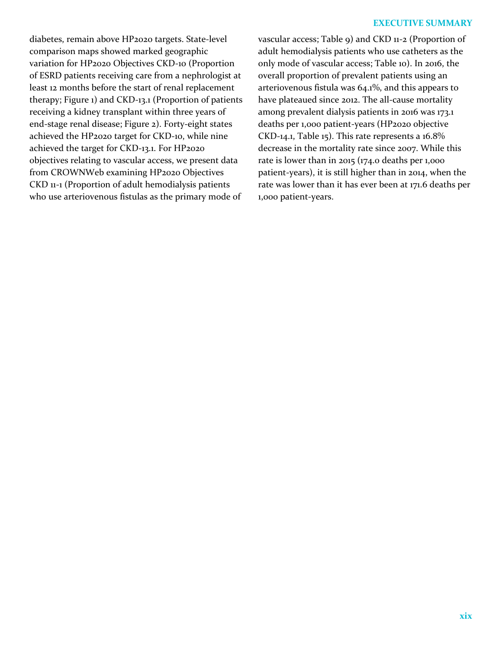## **EXECUTIVE SUMMARY**

diabetes, remain above HP2020 targets. State-level comparison maps showed marked geographic variation for HP2020 Objectives CKD-10 (Proportion of ESRD patients receiving care from a nephrologist at least 12 months before the start of renal replacement therapy; Figure 1) and CKD-13.1 (Proportion of patients receiving a kidney transplant within three years of end-stage renal disease; Figure 2). Forty-eight states achieved the HP2020 target for CKD-10, while nine achieved the target for CKD-13.1. For HP2020 objectives relating to vascular access, we present data from CROWNWeb examining HP2020 Objectives CKD 11-1 (Proportion of adult hemodialysis patients who use arteriovenous fistulas as the primary mode of

vascular access; Table 9) and CKD 11-2 (Proportion of adult hemodialysis patients who use catheters as the only mode of vascular access; Table 10). In 2016, the overall proportion of prevalent patients using an arteriovenous fistula was 64.1%, and this appears to have plateaued since 2012. The all-cause mortality among prevalent dialysis patients in 2016 was 173.1 deaths per 1,000 patient-years (HP2020 objective CKD-14.1, Table 15). This rate represents a 16.8% decrease in the mortality rate since 2007. While this rate is lower than in 2015 (174.0 deaths per 1,000 patient-years), it is still higher than in 2014, when the rate was lower than it has ever been at 171.6 deaths per 1,000 patient-years.